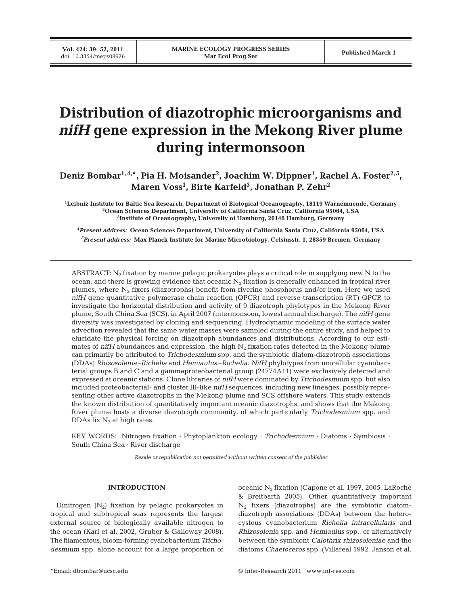**Vol. 424: 39–52, 2011**

# **Distribution of diazotrophic microorganisms and** *nifH* **gene expression in the Mekong River plume during intermonsoon**

Deniz Bombar<sup>1,4,</sup>\*, Pia H. Moisander<sup>2</sup>, Joachim W. Dippner<sup>1</sup>, Rachel A. Foster<sup>2,5</sup>, **Maren Voss1 , Birte Karfeld3 , Jonathan P. Zehr2**

**1 Leibniz Institute for Baltic Sea Research, Department of Biological Oceanography, 18119 Warnemuende, Germany 2 Ocean Sciences Department, University of California Santa Cruz, California 95064, USA 3 Institute of Oceanography, University of Hamburg, 20146 Hamburg, Germany**

**4** *Present address:* **Ocean Sciences Department, University of California Santa Cruz, California 95064, USA** *5 Present address:* **Max Planck Institute for Marine Microbiology, Celsiusstr. 1, 28359 Bremen, Germany**

ABSTRACT:  $N_2$  fixation by marine pelagic prokaryotes plays a critical role in supplying new N to the ocean, and there is growing evidence that oceanic  $N_2$  fixation is generally enhanced in tropical river plumes, where N2 fixers (diazotrophs) benefit from riverine phosphorus and/or iron. Here we used *nifH* gene quantitative polymerase chain reaction (QPCR) and reverse transcription (RT) QPCR to investigate the horizontal distribution and activity of 9 diazotroph phylotypes in the Mekong River plume, South China Sea (SCS), in April 2007 (intermonsoon, lowest annual discharge). The *nifH* gene diversity was investigated by cloning and sequencing. Hydrodynamic modeling of the surface water advection revealed that the same water masses were sampled during the entire study, and helped to elucidate the physical forcing on diazotroph abundances and distributions. According to our estimates of  $nifH$  abundances and expression, the high  $N_2$  fixation rates detected in the Mekong plume can primarily be attributed to *Trichodesmium* spp. and the symbiotic diatom-diazotroph associations (DDAs) *Rhizosolenia*–*Richelia* and *Hemiaulus* –*Richelia*. *NifH* phylotypes from unicellular cyanobacterial groups B and C and a gammaproteobacterial group (24774A11) were exclusively detected and expressed at oceanic stations. Clone libraries of *nifH* were dominated by *Trichodesmium* spp. but also included proteobacterial- and cluster III-like *nifH* sequences, including new lineages, possibly representing other active diazotrophs in the Mekong plume and SCS offshore waters. This study extends the known distribution of quantitatively important oceanic diazotrophs, and shows that the Mekong River plume hosts a diverse diazotroph community, of which particularly *Trichodesmium* spp. and DDAs fix  $N_2$  at high rates.

KEY WORDS: Nitrogen fixation · Phytoplankton ecology · *Trichodesmium* · Diatoms · Symbiosis · South China Sea · River discharge

*Resale or republication not permitted without written consent of the publisher*

### **INTRODUCTION**

Dinitrogen  $(N_2)$  fixation by pelagic prokaryotes in tropical and subtropical seas represents the largest external source of biologically available nitrogen to the ocean (Karl et al. 2002, Gruber & Galloway 2008). The filamentous, bloom-forming cyanobacterium *Trichodesmium* spp. alone account for a large proportion of oceanic  $N_2$  fixation (Capone et al. 1997, 2005, LaRoche & Breitbarth 2005). Other quantitatively important N2 fixers (diazotrophs) are the symbiotic diatomdiazotroph associations (DDAs) between the heterocystous cyanobacterium *Richelia intracellularis* and *Rhizosolenia* spp. and *Hemiaulus* spp., or alternatively between the symbiont *Calothrix rhizosoleniae* and the diatoms *Chaetoceros* spp. (Villareal 1992, Janson et al.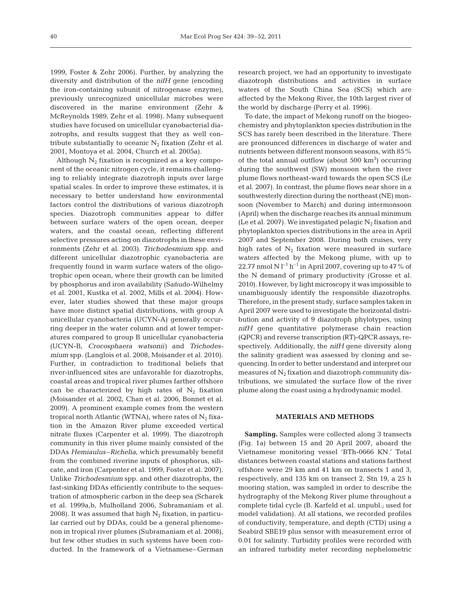1999, Foster & Zehr 2006). Further, by analyzing the diversity and distribution of the *nifH* gene (encoding the iron-containing subunit of nitrogenase enzyme), previously unrecognized unicellular microbes were discovered in the marine environment (Zehr & McReynolds 1989, Zehr et al. 1998). Many subsequent studies have focused on unicellular cyanobacterial diazotrophs, and results suggest that they as well contribute substantially to oceanic  $N_2$  fixation (Zehr et al. 2001, Montoya et al. 2004, Church et al. 2005a).

Although  $N_2$  fixation is recognized as a key component of the oceanic nitrogen cycle, it remains challenging to reliably integrate diazotroph inputs over large spatial scales. In order to improve these estimates, it is necessary to better understand how environmental factors control the distributions of various diazotroph species. Diazotroph communities appear to differ between surface waters of the open ocean, deeper waters, and the coastal ocean, reflecting different selective pressures acting on diazotrophs in these environments (Zehr et al. 2003). *Trichodesmium* spp. and different unicellular diazotrophic cyanobacteria are frequently found in warm surface waters of the oligotrophic open ocean, where their growth can be limited by phosphorus and iron availability (Sañudo-Wilhelmy et al. 2001, Kustka et al. 2002, Mills et al. 2004). However, later studies showed that these major groups have more distinct spatial distributions, with group A unicellular cyanobacteria (UCYN-A) generally occurring deeper in the water column and at lower temperatures compared to group B unicellular cyanobacteria (UCYN-B, *Crocosphaera watsonii)* and *Trichodesmium* spp. (Langlois et al. 2008, Moisander et al. 2010). Further, in contradiction to traditional beliefs that river-influenced sites are unfavorable for diazotrophs, coastal areas and tropical river plumes farther offshore can be characterized by high rates of  $N_2$  fixation (Moisander et al. 2002, Chan et al. 2006, Bonnet et al. 2009). A prominent example comes from the western tropical north Atlantic (WTNA), where rates of  $N_2$  fixation in the Amazon River plume exceeded vertical nitrate fluxes (Carpenter et al. 1999). The diazotroph community in this river plume mainly consisted of the DDAs *Hemiaulus–Richelia*, which presumably benefit from the combined riverine inputs of phosphorus, silicate, and iron (Carpenter et al. 1999, Foster et al. 2007). Unlike *Trichodesmium* spp. and other diazotrophs, the fast-sinking DDAs efficiently contribute to the sequestration of atmospheric carbon in the deep sea (Scharek et al. 1999a,b, Mulholland 2006, Subramaniam et al. 2008). It was assumed that high  $N_2$  fixation, in particular carried out by DDAs, could be a general phenomenon in tropical river plumes (Subramaniam et al. 2008), but few other studies in such systems have been conducted. In the framework of a Vietnamese–German

research project, we had an opportunity to investigate diazotroph distributions and activities in surface waters of the South China Sea (SCS) which are affected by the Mekong River, the 10th largest river of the world by discharge (Perry et al. 1996).

To date, the impact of Mekong runoff on the biogeochemistry and phytoplankton species distribution in the SCS has rarely been described in the literature. There are pronounced differences in discharge of water and nutrients between different monsoon seasons, with 85% of the total annual outflow (about  $500 \text{ km}^3$ ) occurring during the southwest (SW) monsoon when the river plume flows northeast-ward towards the open SCS (Le et al. 2007). In contrast, the plume flows near shore in a southwesterly direction during the northeast (NE) monsoon (November to March) and during intermonsoon (April) when the discharge reaches its annual minimum (Le et al. 2007). We investigated pelagic  $N_2$  fixation and phytoplankton species distributions in the area in April 2007 and September 2008. During both cruises, very high rates of  $N_2$  fixation were measured in surface waters affected by the Mekong plume, with up to 22.77 nmol N  $l^{-1}$  h<sup>-1</sup> in April 2007, covering up to 47% of the N demand of primary productivity (Grosse et al. 2010). However, by light microscopy it was impossible to unambiguously identify the responsible diazotrophs. Therefore, in the present study, surface samples taken in April 2007 were used to investigate the horizontal distribution and activity of 9 diazotroph phylotypes, using *nifH* gene quantitative polymerase chain reaction (QPCR) and reverse transcription (RT)-QPCR assays, respectively. Additionally, the *nifH* gene diversity along the salinity gradient was assessed by cloning and sequencing. In order to better understand and interpret our measures of  $N_2$  fixation and diazotroph community distributions, we simulated the surface flow of the river plume along the coast using a hydrodynamic model.

#### **MATERIALS AND METHODS**

**Sampling.** Samples were collected along 3 transects (Fig. 1a) between 15 and 20 April 2007, aboard the Vietnamese monitoring vessel 'BTh-0666 KN.' Total distances between coastal stations and stations farthest offshore were 29 km and 41 km on transects 1 and 3, respectively, and 135 km on transect 2. Stn 19, a 25 h mooring station, was sampled in order to describe the hydrography of the Mekong River plume throughout a complete tidal cycle (B. Karfeld et al. unpubl.; used for model validation). At all stations, we recorded profiles of conductivity, temperature, and depth (CTD) using a Seabird SBE19 plus sensor with measurement error of 0.01 for salinity. Turbidity profiles were recorded with an infrared turbidity meter recording nephelometric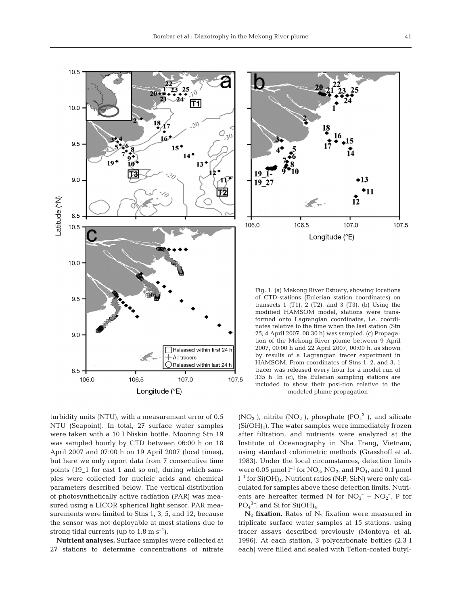



Fig. 1. (a) Mekong River Estuary, showing locations of CTD-stations (Eulerian station coordinates) on transects 1 (T1), 2 (T2), and 3 (T3). (b) Using the modified HAMSOM model, stations were transformed onto Lagrangian coordinates, i.e. coordinates relative to the time when the last station (Stn 25, 4 April 2007, 08:30 h) was sampled. (c) Propagation of the Mekong River plume between 9 April 2007, 00:00 h and 22 April 2007, 00:00 h, as shown by results of a Lagrangian tracer experiment in HAMSOM. From coordinates of Stns 1, 2, and 3, 1 tracer was released every hour for a model run of 335 h. In (c), the Eulerian sampling stations are included to show their posi-tion relative to the modeled plume propagation

turbidity units (NTU), with a measurement error of 0.5 NTU (Seapoint). In total, 27 surface water samples were taken with a 10 l Niskin bottle. Mooring Stn 19 was sampled hourly by CTD between 06:00 h on 18 April 2007 and 07:00 h on 19 April 2007 (local times), but here we only report data from 7 consecutive time points (19\_1 for cast 1 and so on), during which samples were collected for nucleic acids and chemical parameters described below. The vertical distribution of photosynthetically active radiation (PAR) was measured using a LICOR spherical light sensor. PAR measurements were limited to Stns 1, 3, 5, and 12, because the sensor was not deployable at most stations due to strong tidal currents (up to  $1.8 \text{ m s}^{-1}$ ).

**Nutrient analyses.** Surface samples were collected at 27 stations to determine concentrations of nitrate  $(NO<sub>3</sub><sup>-</sup>)$ , nitrite  $(NO<sub>2</sub><sup>-</sup>)$ , phosphate  $(PO<sub>4</sub><sup>3</sup><sup>-</sup>)$ , and silicate  $(Si(OH)_4)$ . The water samples were immediately frozen after filtration, and nutrients were analyzed at the Institute of Oceanography in Nha Trang, Vietnam, using standard colorimetric methods (Grasshoff et al. 1983). Under the local circumstances, detection limits were 0.05 µmol  $l^{-1}$  for  $NO_3$ ,  $NO_2$ , and  $PO_4$ , and 0.1 µmol l –1 for Si(OH)4. Nutrient ratios (N:P, Si:N) were only calculated for samples above these detection limits. Nutrients are hereafter termed N for  $NO<sub>3</sub><sup>-</sup> + NO<sub>2</sub><sup>-</sup>, P$  for  $PO_4^3$ <sup>-</sup>, and Si for Si(OH)<sub>4</sub>.

 $N_2$  **fixation.** Rates of  $N_2$  fixation were measured in triplicate surface water samples at 15 stations, using tracer assays described previously (Montoya et al. 1996). At each station, 3 polycarbonate bottles (2.3 l each) were filled and sealed with Teflon-coated butyl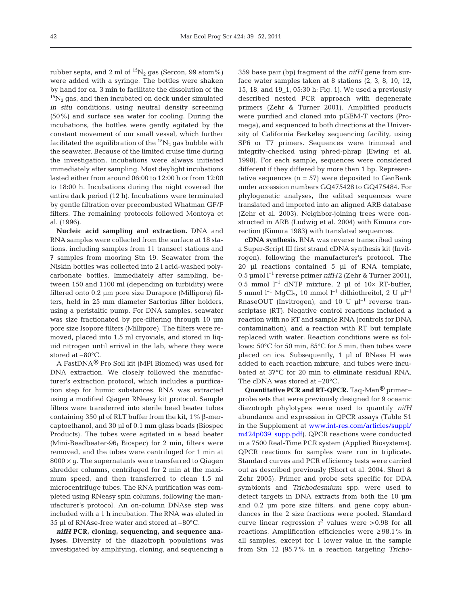rubber septa, and 2 ml of  $^{15}N_2$  gas (Sercon, 99 atom%) were added with a syringe. The bottles were shaken by hand for ca. 3 min to facilitate the dissolution of the  $15N<sub>2</sub>$  gas, and then incubated on deck under simulated *in situ* conditions, using neutral density screening (50%) and surface sea water for cooling. During the incubations, the bottles were gently agitated by the constant movement of our small vessel, which further facilitated the equilibration of the  ${}^{15}N_2$  gas bubble with the seawater. Because of the limited cruise time during the investigation, incubations were always initiated immediately after sampling. Most daylight incubations lasted either from around 06:00 to 12:00 h or from 12:00 to 18:00 h. Incubations during the night covered the entire dark period (12 h). Incubations were terminated by gentle filtration over precombusted Whatman GF/F filters. The remaining protocols followed Montoya et al. (1996).

**Nucleic acid sampling and extraction.** DNA and RNA samples were collected from the surface at 18 stations, including samples from 11 transect stations and 7 samples from mooring Stn 19. Seawater from the Niskin bottles was collected into 2 l acid-washed polycarbonate bottles. Immediately after sampling, between 150 and 1100 ml (depending on turbidity) were filtered onto 0.2 µm pore size Durapore (Millipore) filters, held in 25 mm diameter Sartorius filter holders, using a peristaltic pump. For DNA samples, seawater was size fractionated by pre-filtering through 10 µm pore size Isopore filters (Millipore). The filters were removed, placed into 1.5 ml cryovials, and stored in liquid nitrogen until arrival in the lab, where they were stored at –80°C.

A FastDNA® Pro Soil kit (MPI Biomed) was used for DNA extraction. We closely followed the manufacturer's extraction protocol, which includes a purification step for humic substances. RNA was extracted using a modified Qiagen RNeasy kit protocol. Sample filters were transferred into sterile bead beater tubes containing 350 µl of RLT buffer from the kit, 1% β-mercaptoethanol, and 30 µl of 0.1 mm glass beads (Biospec Products). The tubes were agitated in a bead beater (Mini-Beadbeater-96; Biospec) for 2 min, filters were removed, and the tubes were centrifuged for 1 min at  $8000 \times q$ . The supernatants were transferred to Qiagen shredder columns, centrifuged for 2 min at the maximum speed, and then transferred to clean 1.5 ml microcentrifuge tubes. The RNA purification was completed using RNeasy spin columns, following the manufacturer's protocol. An on-column DNAse step was included with a 1 h incubation. The RNA was eluted in 35 µl of RNAse-free water and stored at –80°C.

*nifH* **PCR, cloning, sequencing, and sequence analyses.** Diversity of the diazotroph populations was investigated by amplifying, cloning, and sequencing a 359 base pair (bp) fragment of the *nifH* gene from surface water samples taken at 8 stations (2, 3, 8, 10, 12, 15, 18, and 19\_1, 05:30 h; Fig. 1). We used a previously described nested PCR approach with degenerate primers (Zehr & Turner 2001). Amplified products were purified and cloned into pGEM-T vectors (Promega), and sequenced to both directions at the University of California Berkeley sequencing facility, using SP6 or T7 primers. Sequences were trimmed and integrity-checked using phred-phrap (Ewing et al. 1998). For each sample, sequences were considered different if they differed by more than 1 bp. Representative sequences  $(n = 57)$  were deposited to GenBank under accession numbers GQ475428 to GQ475484. For phylogenetic analyses, the edited sequences were translated and imported into an aligned ARB database (Zehr et al. 2003). Neighbor-joining trees were constructed in ARB (Ludwig et al. 2004) with Kimura correction (Kimura 1983) with translated sequences.

**cDNA synthesis.** RNA was reverse transcribed using a Super-Script III first strand cDNA synthesis kit (Invitrogen), following the manufacturer's protocol. The 20 µl reactions contained 5 µl of RNA template, 0.5 µmol l–1 reverse primer *nifH*2 (Zehr & Turner 2001), 0.5 mmol  $l^{-1}$  dNTP mixture, 2 µl of 10× RT-buffer, 5 mmol  $l^{-1}$  MgCl<sub>2</sub>, 10 mmol  $l^{-1}$  dithiothreitol, 2 U  $\mu$ l<sup>-1</sup> RnaseOUT (Invitrogen), and 10 U  $\mu$ <sup>-1</sup> reverse transcriptase (RT). Negative control reactions included a reaction with no RT and sample RNA (controls for DNA contamination), and a reaction with RT but template replaced with water. Reaction conditions were as follows: 50°C for 50 min, 85°C for 5 min, then tubes were placed on ice. Subsequently, 1 µl of RNase H was added to each reaction mixture, and tubes were incubated at 37°C for 20 min to eliminate residual RNA. The cDNA was stored at –20°C.

**Quantitative PCR and RT-QPCR.** Taq-Man® primer– probe sets that were previously designed for 9 oceanic diazotroph phylotypes were used to quantify *nifH* abundance and expression in QPCR assays (Table S1 in the Supplement at [www.int-res.com/articles/suppl/](http://www.int-res.com/articles/suppl/m424p039_supp.pdf) [m424p039\\_supp.pdf\). Q](http://www.int-res.com/articles/suppl/m424p039_supp.pdf)PCR reactions were conducted in a 7500 Real-Time PCR system (Applied Biosystems). QPCR reactions for samples were run in triplicate. Standard curves and PCR efficiency tests were carried out as described previously (Short et al. 2004, Short & Zehr 2005). Primer and probe sets specific for DDA symbionts and *Trichodesmium* spp. were used to detect targets in DNA extracts from both the 10 µm and 0.2 µm pore size filters, and gene copy abundances in the 2 size fractions were pooled. Standard curve linear regression  $r^2$  values were >0.98 for all reactions. Amplification efficiencies were ≥ 98.1% in all samples, except for 1 lower value in the sample from Stn 12 (95.7% in a reaction targeting *Tricho-*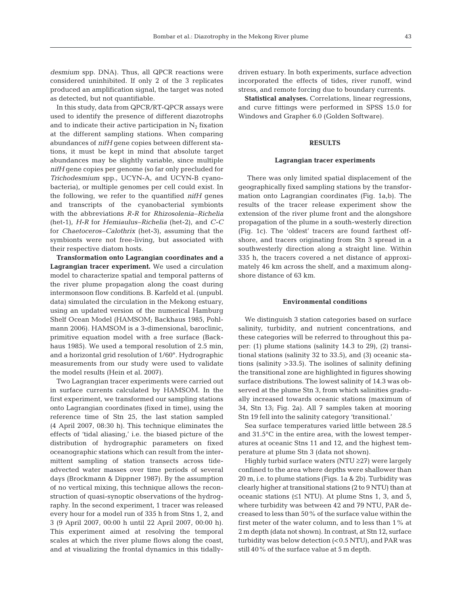In this study, data from QPCR/RT-QPCR assays were used to identify the presence of different diazotrophs and to indicate their active participation in  $N_2$  fixation at the different sampling stations. When comparing abundances of *nifH* gene copies between different stations, it must be kept in mind that absolute target abundances may be slightly variable, since multiple *nifH* gene copies per genome (so far only precluded for *Trichodesmium* spp., UCYN-A, and UCYN-B cyanobacteria), or multiple genomes per cell could exist. In the following, we refer to the quantified *nifH* genes and transcripts of the cyanobacterial symbionts with the abbreviations *R-R* for *Rhizosolenia*–*Richelia* (het-1), *H-R* for *Hemiaulus*–*Richelia* (het-2), and *C-C* for *Chaetoceros*–*Calothrix* (het-3), assuming that the symbionts were not free-living, but associated with their respective diatom hosts.

**Transformation onto Lagrangian coordinates and a Lagrangian tracer experiment.** We used a circulation model to characterize spatial and temporal patterns of the river plume propagation along the coast during intermonsoon flow conditions. B. Karfeld et al. (unpubl. data) simulated the circulation in the Mekong estuary, using an updated version of the numerical Hamburg Shelf Ocean Model (HAMSOM; Backhaus 1985, Pohlmann 2006). HAMSOM is a 3-dimensional, baroclinic, primitive equation model with a free surface (Backhaus 1985). We used a temporal resolution of 2.5 min, and a horizontal grid resolution of 1/60°. Hydrographic measurements from our study were used to validate the model results (Hein et al. 2007).

Two Lagrangian tracer experiments were carried out in surface currents calculated by HAMSOM. In the first experiment, we transformed our sampling stations onto Lagrangian coordinates (fixed in time), using the reference time of Stn 25, the last station sampled (4 April 2007, 08:30 h). This technique eliminates the effects of 'tidal aliasing,' i.e. the biased picture of the distribution of hydrographic parameters on fixed oceanographic stations which can result from the intermittent sampling of station transects across tideadvected water masses over time periods of several days (Brockmann & Dippner 1987). By the assumption of no vertical mixing, this technique allows the reconstruction of quasi-synoptic observations of the hydrography. In the second experiment, 1 tracer was released every hour for a model run of 335 h from Stns 1, 2, and 3 (9 April 2007, 00:00 h until 22 April 2007, 00:00 h). This experiment aimed at resolving the temporal scales at which the river plume flows along the coast, and at visualizing the frontal dynamics in this tidallydriven estuary. In both experiments, surface advection incorporated the effects of tides, river runoff, wind stress, and remote forcing due to boundary currents.

**Statistical analyses.** Correlations, linear regressions, and curve fittings were performed in SPSS 15.0 for Windows and Grapher 6.0 (Golden Software).

#### **RESULTS**

#### **Lagrangian tracer experiments**

There was only limited spatial displacement of the geographically fixed sampling stations by the transformation onto Lagrangian coordinates (Fig. 1a,b). The results of the tracer release experiment show the extension of the river plume front and the alongshore propagation of the plume in a south-westerly direction (Fig. 1c). The 'oldest' tracers are found farthest offshore, and tracers originating from Stn 3 spread in a southwesterly direction along a straight line. Within 335 h, the tracers covered a net distance of approximately 46 km across the shelf, and a maximum alongshore distance of 63 km.

#### **Environmental conditions**

We distinguish 3 station categories based on surface salinity, turbidity, and nutrient concentrations, and these categories will be referred to throughout this paper: (1) plume stations (salinity 14.3 to 29), (2) transitional stations (salinity 32 to 33.5), and (3) oceanic stations (salinity >33.5). The isolines of salinity defining the transitional zone are highlighted in figures showing surface distributions. The lowest salinity of 14.3 was observed at the plume Stn 3, from which salinities gradually increased towards oceanic stations (maximum of 34, Stn 13; Fig. 2a). All 7 samples taken at mooring Stn 19 fell into the salinity category 'transitional.'

Sea surface temperatures varied little between 28.5 and 31.5°C in the entire area, with the lowest temperatures at oceanic Stns 11 and 12, and the highest temperature at plume Stn 3 (data not shown).

Highly turbid surface waters (NTU ≥27) were largely confined to the area where depths were shallower than 20 m, i.e. to plume stations (Figs. 1a & 2b). Turbidity was clearly higher at transitional stations (2 to 9 NTU) than at oceanic stations  $(≤1 NTU)$ . At plume Stns 1, 3, and 5, where turbidity was between 42 and 79 NTU, PAR decreased to less than 50% of the surface value within the first meter of the water column, and to less than 1% at 2 m depth (data not shown). In contrast, at Stn 12, surface turbidity was below detection (<0.5 NTU), and PAR was still 40% of the surface value at 5 m depth.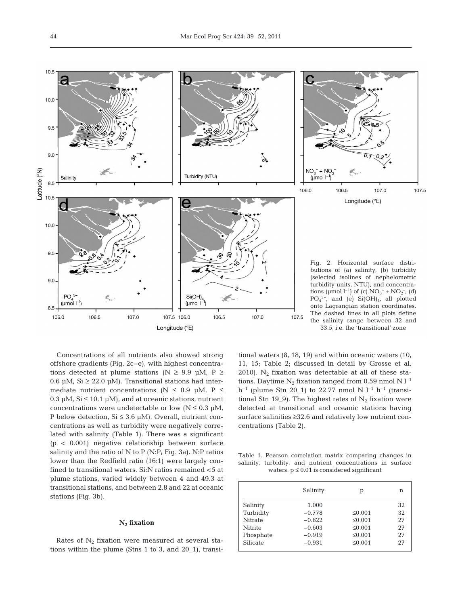

Concentrations of all nutrients also showed strong offshore gradients (Fig. 2c–e), with highest concentrations detected at plume stations (N  $\ge$  9.9 µM, P  $\ge$ 0.6  $\mu$ M, Si  $\geq$  22.0  $\mu$ M). Transitional stations had intermediate nutrient concentrations ( $N \le 0.9$  µM,  $P \le$ 0.3  $\mu$ M, Si  $\leq$  10.1  $\mu$ M), and at oceanic stations, nutrient concentrations were undetectable or low  $(N \le 0.3 \mu M,$ P below detection,  $Si \leq 3.6$  µM). Overall, nutrient concentrations as well as turbidity were negatively correlated with salinity (Table 1). There was a significant (p < 0.001) negative relationship between surface salinity and the ratio of N to P (N:P; Fig. 3a). N:P ratios lower than the Redfield ratio (16:1) were largely confined to transitional waters. Si:N ratios remained <5 at plume stations, varied widely between 4 and 49.3 at transitional stations, and between 2.8 and 22 at oceanic stations (Fig. 3b).

### **N2 fixation**

Rates of  $N_2$  fixation were measured at several stations within the plume (Stns 1 to 3, and 20\_1), transitional waters (8, 18, 19) and within oceanic waters (10, 11, 15; Table 2; discussed in detail by Grosse et al. 2010).  $N_2$  fixation was detectable at all of these stations. Daytime  $N_2$  fixation ranged from 0.59 nmol N  $l^{-1}$  $h^{-1}$  (plume Stn 20\_1) to 22.77 nmol N  $l^{-1}$   $h^{-1}$  (transitional Stn 19\_9). The highest rates of  $N_2$  fixation were detected at transitional and oceanic stations having surface salinities ≥32.6 and relatively low nutrient concentrations (Table 2).

Table 1. Pearson correlation matrix comparing changes in salinity, turbidity, and nutrient concentrations in surface waters.  $p \le 0.01$  is considered significant

|           | Salinity | р            | n  |
|-----------|----------|--------------|----|
| Salinity  | 1.000    |              | 32 |
| Turbidity | $-0.778$ | $\leq 0.001$ | 32 |
| Nitrate   | $-0.822$ | $\leq 0.001$ | 27 |
| Nitrite   | $-0.603$ | $\leq 0.001$ | 27 |
| Phosphate | $-0.919$ | $\leq 0.001$ | 27 |
| Silicate  | $-0.931$ | $\leq 0.001$ | 27 |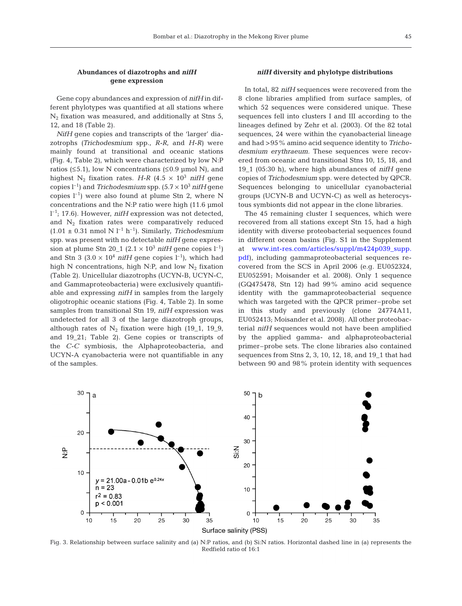## **Abundances of diazotrophs and** *nifH* **gene expression**

Gene copy abundances and expression of *nifH* in different phylotypes was quantified at all stations where  $N_2$  fixation was measured, and additionally at Stns 5, 12, and 18 (Table 2).

*NifH* gene copies and transcripts of the 'larger' diazotrophs *(Trichodesmium* spp., *R-R*, and *H-R)* were mainly found at transitional and oceanic stations (Fig. 4, Table 2), which were characterized by low N:P ratios ( $\leq$ 5.1), low N concentrations ( $\leq$ 0.9 µmol N), and highest N<sub>2</sub> fixation rates. *H-R* (4.5  $\times$  10<sup>3</sup> *nifH* gene copies  $l^{-1}$ ) and *Trichodesmium* spp.  $(5.7 \times 10^3 \text{ nifH gene})$ copies  $l^{-1}$ ) were also found at plume Stn 2, where N concentrations and the N:P ratio were high (11.6 µmol l –1; 17.6). However, *nifH* expression was not detected, and  $N_2$  fixation rates were comparatively reduced  $(1.01 \pm 0.31 \text{ nmol N } l^{-1} \text{ h}^{-1})$ . Similarly, *Trichodesmium* spp. was present with no detectable *nifH* gene expression at plume Stn 20<sub>-1</sub> (2.1 × 10<sup>3</sup> *nifH* gene copies  $l^{-1}$ ) and Stn 3 (3.0  $\times$  10<sup>4</sup> *nifH* gene copies l<sup>-1</sup>), which had high N concentrations, high N:P, and low  $N_2$  fixation (Table 2). Unicellular diazotrophs (UCYN-B, UCYN-C, and Gammaproteobacteria*)* were exclusively quantifiable and expressing *nifH* in samples from the largely oligotrophic oceanic stations (Fig. 4, Table 2). In some samples from transitional Stn 19, *nifH* expression was undetected for all 3 of the large diazotroph groups, although rates of  $N_2$  fixation were high (19\_1, 19\_9, and 19\_21; Table 2). Gene copies or transcripts of the *C-C* symbiosis, the Alphaproteobacteria, and UCYN-A cyanobacteria were not quantifiable in any of the samples.

## *nifH* **diversity and phylotype distributions**

In total, 82 *nifH* sequences were recovered from the 8 clone libraries amplified from surface samples, of which 52 sequences were considered unique. These sequences fell into clusters I and III according to the lineages defined by Zehr et al. (2003). Of the 82 total sequences, 24 were within the cyanobacterial lineage and had >95% amino acid sequence identity to *Trichodesmium erythraeum.* These sequences were recovered from oceanic and transitional Stns 10, 15, 18, and 19\_1 (05:30 h), where high abundances of *nifH* gene copies of *Trichodesmium* spp. were detected by QPCR. Sequences belonging to unicellular cyanobacterial groups (UCYN-B and UCYN-C) as well as heterocystous symbionts did not appear in the clone libraries.

The 45 remaining cluster I sequences, which were recovered from all stations except Stn 15, had a high identity with diverse proteobacterial sequences found in different ocean basins (Fig. S1 in the Supplement at [www.int-res.com/articles/suppl/m424p039\\_supp.](http://www.int-res.com/articles/suppl/m424p039_supp.pdf) [pdf\),](http://www.int-res.com/articles/suppl/m424p039_supp.pdf) including gammaproteobacterial sequences recovered from the SCS in April 2006 (e.g. EU052324, EU052591; Moisander et al. 2008). Only 1 sequence (GQ475478, Stn 12) had 99% amino acid sequence identity with the gammaproteobacterial sequence which was targeted with the QPCR primer–probe set in this study and previously (clone 24774A11, EU052413; Moisander et al. 2008). All other proteobacterial *nifH* sequences would not have been amplified by the applied gamma- and alphaproteobacterial primer–probe sets. The clone libraries also contained sequences from Stns 2, 3, 10, 12, 18, and 19\_1 that had between 90 and 98% protein identity with sequences



Fig. 3. Relationship between surface salinity and (a) N:P ratios, and (b) Si:N ratios. Horizontal dashed line in (a) represents the Redfield ratio of 16:1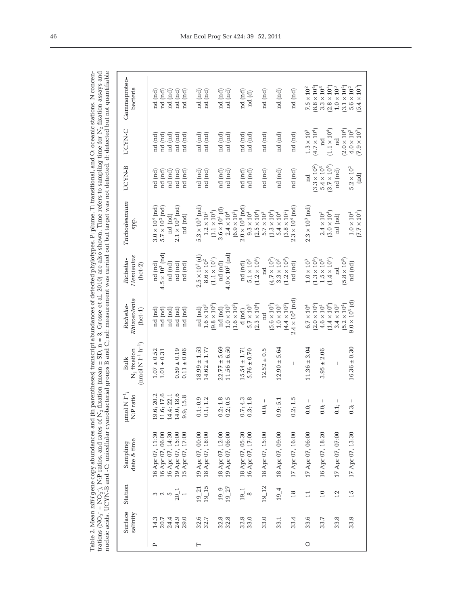Table 2. Mean  $niff$  gene copy abundances and (in parentheses) transcript abundances of detected phylotypes. P: plume, T: transitional, and O: oceanic stations. N concentrations of the tasks of  $N_2$  is and the set of  $N_2$ trations (NO<sub>3</sub>–+ NO<sub>2</sub>–), N:P ratios, and rates of N<sub>2</sub> fixation (mean  $\pm$  SD, n = 3, Grosse et al. 2010) are also shown. Time refers to sampling time for N<sub>2</sub> fixation assays and nucleic acids. UCYN-B and -C: unicellular cyanobacterial groups B and C; nd: measurement was carried out but target was not detected. d: detected but not quantifiableTable 2. Mean *nifH* gene copy abundances and (in parentheses) transcript abundances of detected phylotypes. P: plume, T: transitional, and O: oceanic stations. N concen-

| Gammaproteo-<br>bacteria                                  | nd (nd)<br>nd (nd)<br>nd (nd)<br>nd (nd)<br>nd (nd                                                                                                                                                                          | nd (nd)<br>nd (nd)<br>nd (nd)<br>nd (nd)<br>nd (nd)                                                                                                                | nd (nd)<br>nd (nd)<br>nd (nd)<br>nd (d)                                                                                                                      | $(8.8 \times 10^{4})$<br>$(3.1 \times 10^{4})$<br>$(2.8\times10^4)$<br>$(5.4 \times 10^{3})$<br>$3.3\times10^3$<br>$1.0\times10^3$<br>$7.5 \times 10^2$<br>$5.6 \times 10^2$ |
|-----------------------------------------------------------|-----------------------------------------------------------------------------------------------------------------------------------------------------------------------------------------------------------------------------|--------------------------------------------------------------------------------------------------------------------------------------------------------------------|--------------------------------------------------------------------------------------------------------------------------------------------------------------|------------------------------------------------------------------------------------------------------------------------------------------------------------------------------|
| UCYN-C                                                    | $\begin{array}{c} \text{nd} \text{ (nd)} \\ \text{nd} \text{ (nd)} \\ \text{nd} \text{ (nd)} \end{array}$<br>(nd)<br>nd (nd)<br>$\frac{1}{2}$                                                                               | nd (nd)<br>nd (nd)<br>nd (nd)<br>nd (nd)<br>nd (nd)                                                                                                                | nd (nd)<br>nd (nd)<br>nd (nd)<br>nd (nd)                                                                                                                     | $(4.7 \times 10^{4})$<br>$(1.1 \times 10^{4})$<br>$(2.0 \times 10^{4})$<br>$(7.9 \times 10^{2})$<br>$1.3\times10^3$<br>$4.0\times10^2$<br>nd<br>nd                           |
| UCYN-B                                                    | nd (nd)<br>nd (nd)<br>nd (nd)<br>nd (nd)<br>nd (nd)                                                                                                                                                                         | nd (nd)<br>nd (nd)<br>nd (nd)<br>nd (nd)<br>nd (nd)                                                                                                                | nd (nd)<br>nd (nd)<br>nd (nd)<br>nd (nd)                                                                                                                     | $(3.7 \times 10^5)$<br>$(3.3 \times 10^{2})$<br>$5.4\times10^3$<br>$5.2\times10^2$<br>nd (nd)<br>$\left( \text{nd} \right)$<br>$_{\rm nd}$                                   |
| Trichodesmium<br>spp.                                     | $3.0\times10^4$ (nd) $5.7\times10^3$ (nd)<br>$2.1 \times 10^{3}$ (nd)<br>nd (nd)<br>nd (nd)                                                                                                                                 | $2.0 \times 10^5$ (nd)<br>$5.3 \times 10^3$ (nd)<br>$3.6 \times 10^{4}$ (d)<br>$(1.1 \times 10^{4})$<br>$(6.9\times10^3)$<br>$1.2\times10^5$<br>$2.4\times10^4$    | $2.3 \times 10^{4}$ (nd)<br>$(1.3 \times 10^{4})$<br>$(3.8 \times 10^{5})$<br>$(2.5 \times 10^{4})$<br>$9.3\times10^4$<br>$5.7\times10^3$<br>$5.4\times10^4$ | $2.3 \times 10^{3}$ (nd)<br>$(3.0 \times 10^{4})$<br>$(7.7\times10^3)$<br>$2.4\times10^5$<br>$1.0\times10^4$<br>nd (nd)                                                      |
| Hemiaulus<br>Richelia-<br>$(het-2)$                       | $4.5 \times 10^{3}$ (nd)<br>nd (nd)<br>nd (nd)<br>nd (nd)<br>nd (nd)                                                                                                                                                        | $4.0 \times 10^2$ (nd)<br>$2.5 \times 10^{3}$ (d)<br>$(1.1 \times 10^{4})$<br>$8.6\times10^2$<br>nd (nd)<br>nd (nd)                                                | $(1.2 \times 10^{4})$<br>$(4.7 \times 10^{2})$<br>$(1.2 \times 10^{3})$<br>$5.1\times10^2$<br>$3.3\times10^2$<br>nd (nd)<br>$_{\rm nd}$                      | $(5.8 \times 10^{3})$<br>$(1.3 \times 10^{4})$<br>$(1.4 \times 10^{4})$<br>$1.5\times10^3$<br>$1.0\times10^3$<br>nd (nd)<br>$\overline{\mathrm{nd}}$                         |
| Rhizosolenia<br>Richelia-<br>$(het-1)$                    | nd (nd)<br>nd (nd)<br>nd (nd)<br>nd (nd)<br>nd (nd)                                                                                                                                                                         | $(9.8 \times 10^{3})$<br>$(1.6 \times 10^{3})$<br>$1.6 \times 10^3$<br>$1.0 \times 10^3$<br>nd (nd)<br>$\mathbf d$ (nd)<br>nd (nd)                                 | $2.4 \times 10^{3}$ (nd)<br>$(4.4\times10^3)$<br>$(2.3 \times 10^{4})$<br>$(5.6 \times 10^{2})$<br>$5.7\times10^3$<br>$1.0\times10^3$<br>nd                  | $9.0 \times 10^{3}$ (d)<br>$(5.2 \times 10^{4})$<br>$(1.4 \times 10^{6})$<br>$(2.0 \times 10^{6})$<br>$4.6\times10^4$<br>$3.4\times10^3$<br>$6.7 \times 10^{4}$              |
| $(mnol N I^{-1} h^{-1})$<br>$N_2$ fixation<br><b>Bulk</b> | $1.07 \pm 0.52$<br>$0.11 \pm 0.06$<br>$0.59 \pm 0.19$<br>$1.01 \pm 0.31$                                                                                                                                                    | $18.99 \pm 1.53$<br>$14.62 \pm 1.77$<br>$22.77 \pm 5.69$<br>$11.56 \pm 6.50$<br>$15.54 \pm 1.71$                                                                   | $12.90 \pm 5.64$<br>$5.76 \pm 0.70$<br>$12.52 \pm 0.5$                                                                                                       | $16.36 \pm 0.30$<br>$11.36 \pm 3.04$<br>$3.95 \pm 2.06$<br>I                                                                                                                 |
| $\mu$ mol N $I^{-1}$ ;<br>N:P ratio                       | $\begin{array}{c} 19.6; \, 20.2\\ 11.6; \, 17.6\\ 14.4; \, 22.1\\ 14.0; \, 18.6 \end{array}$<br>9.9; 15.8                                                                                                                   | $0.1, 0.9$<br>$0.1, 1.2$<br>$0.2; 1.8$<br>$0.2; 0.5$<br>0.1;0                                                                                                      | 0.2; 1.5<br>$0.7; 4.3$<br>$0.3; 1.8$<br>0.9; 5.1<br>L<br>0.0;                                                                                                | $\overline{\phantom{a}}$<br>$\begin{array}{c} \hline \end{array}$<br>0.0<br>0.1<br>0.0;<br>0.3                                                                               |
| date & time<br>Sampling                                   | $\begin{array}{c} 16 \ \mathrm{A} \mathrm{pr} \ 07, 06:00 \\ 16 \ \mathrm{A} \mathrm{pr} \ 07, 14:30 \\ 19 \ \mathrm{A} \mathrm{pr} \ 07, 15:00 \\ 15 \ \mathrm{A} \mathrm{pr} \ 07, 17:00 \end{array}$<br>16 Apr 07, 11:30 | $\begin{array}{c} 19 \ \mathrm{Apr} \ 07, \ 00:00 \\ 18 \ \mathrm{Apr} \ 07, \ 18:00 \end{array}$<br>$18 \mbox{ Apr }07, \, 12.00 \\ 19 \mbox{ Appr }07, \, 06.00$ | $18 \mathrm{\;Apr\;O7},05:30 \newline 16 \mathrm{\;Apr\;O7},17:00$<br>18 Apr 07, 15:00<br>18 Apr 07, 09:00<br>17 Apr 07, 16:00                               | 16 Apr 07, 18:20<br>17 Apr 07, 06:00<br>17 Apr 07, 07:00<br>17 Apr 07, 13:30                                                                                                 |
| Station                                                   | $\frac{20}{1}$                                                                                                                                                                                                              | $19 - 15$<br>$19 - 27$<br>$19 - 21$<br>$19 - 9$                                                                                                                    | $19 - 12$<br>$19 - 4$<br>$\begin{array}{c} 19 \\ 8 \end{array}$<br>$^{18}$                                                                                   | $10$<br>$\overline{2}$<br>15<br>$\Xi$                                                                                                                                        |
| Surface<br>salinity                                       | $7490$<br>$24490$<br>$2430$<br>14.3                                                                                                                                                                                         | 32.7<br>32.7<br>$32.8$<br>$32.8$                                                                                                                                   | $32.0$<br>$33.0$<br>33.0<br>33.4<br>33.1                                                                                                                     | 33.6<br>33.7<br>33.8<br>33.9                                                                                                                                                 |
|                                                           | $\mathbf{r}$                                                                                                                                                                                                                | $\vdash$                                                                                                                                                           |                                                                                                                                                              | $\circ$                                                                                                                                                                      |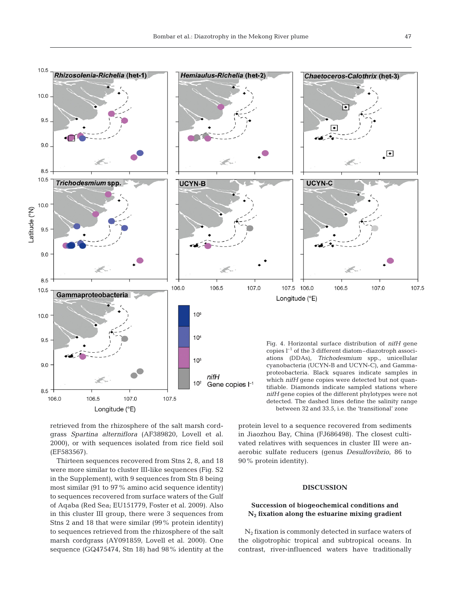

retrieved from the rhizosphere of the salt marsh cordgrass *Spartina alterniflora* (AF389820, Lovell et al. 2000), or with sequences isolated from rice field soil (EF583567).

Thirteen sequences recovered from Stns 2, 8, and 18 were more similar to cluster III-like sequences (Fig. S2 in the Supplement), with 9 sequences from Stn 8 being most similar (91 to 97% amino acid sequence identity) to sequences recovered from surface waters of the Gulf of Aqaba (Red Sea; EU151779, Foster et al. 2009). Also in this cluster III group, there were 3 sequences from Stns 2 and 18 that were similar (99% protein identity) to sequences retrieved from the rhizosphere of the salt marsh cordgrass (AY091859, Lovell et al. 2000). One sequence (GQ475474, Stn 18) had 98% identity at the

protein level to a sequence recovered from sediments in Jiaozhou Bay, China (FJ686498). The closest cultivated relatives with sequences in cluster III were anaerobic sulfate reducers (genus *Desulfovibrio*, 86 to 90% protein identity).

# **DISCUSSION**

# **Succession of biogeochemical conditions and N2 fixation along the estuarine mixing gradient**

 $N_2$  fixation is commonly detected in surface waters of the oligotrophic tropical and subtropical oceans. In contrast, river-influenced waters have traditionally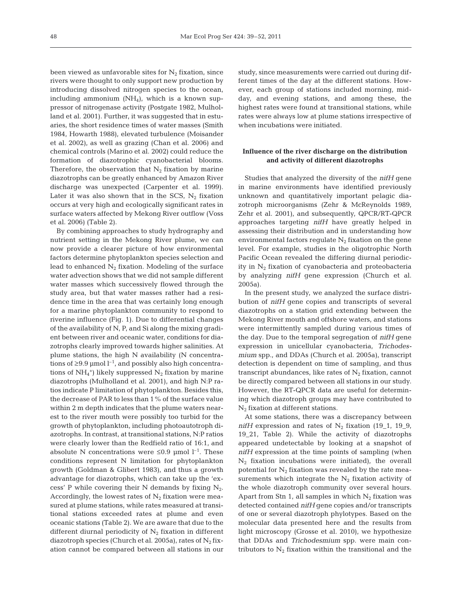been viewed as unfavorable sites for  $N_2$  fixation, since rivers were thought to only support new production by introducing dissolved nitrogen species to the ocean, including ammonium (NH<sub>4</sub>), which is a known suppressor of nitrogenase activity (Postgate 1982, Mulholland et al. 2001). Further, it was suggested that in estuaries, the short residence times of water masses (Smith 1984, Howarth 1988), elevated turbulence (Moisander et al. 2002), as well as grazing (Chan et al. 2006) and chemical controls (Marino et al. 2002) could reduce the formation of diazotrophic cyanobacterial blooms. Therefore, the observation that  $N_2$  fixation by marine diazotrophs can be greatly enhanced by Amazon River discharge was unexpected (Carpenter et al. 1999). Later it was also shown that in the SCS,  $N_2$  fixation occurs at very high and ecologically significant rates in surface waters affected by Mekong River outflow (Voss et al. 2006) (Table 2).

By combining approaches to study hydrography and nutrient setting in the Mekong River plume, we can now provide a clearer picture of how environmental factors determine phytoplankton species selection and lead to enhanced  $N_2$  fixation. Modeling of the surface water advection shows that we did not sample different water masses which successively flowed through the study area, but that water masses rather had a residence time in the area that was certainly long enough for a marine phytoplankton community to respond to riverine influence (Fig. 1). Due to differential changes of the availability of N, P, and Si along the mixing gradient between river and oceanic water, conditions for diazotrophs clearly improved towards higher salinities. At plume stations, the high N availability (N concentrations of  $\geq$ 9.9 µmol  $l^{-1}$ , and possibly also high concentrations of  $NH_4^+$ ) likely suppressed  $N_2$  fixation by marine diazotrophs (Mulholland et al. 2001), and high N:P ratios indicate P limitation of phytoplankton. Besides this, the decrease of PAR to less than 1% of the surface value within 2 m depth indicates that the plume waters nearest to the river mouth were possibly too turbid for the growth of phytoplankton, including photoautotroph diazotrophs. In contrast, at transitional stations, N:P ratios were clearly lower than the Redfield ratio of 16:1, and absolute N concentrations were  $\leq 0.9$  µmol l<sup>-1</sup>. These conditions represent N limitation for phytoplankton growth (Goldman & Glibert 1983), and thus a growth advantage for diazotrophs, which can take up the 'excess' P while covering their N demands by fixing  $N_2$ . Accordingly, the lowest rates of  $N_2$  fixation were measured at plume stations, while rates measured at transitional stations exceeded rates at plume and even oceanic stations (Table 2). We are aware that due to the different diurnal periodicity of  $N_2$  fixation in different diazotroph species (Church et al. 2005a), rates of  $N_2$  fixation cannot be compared between all stations in our study, since measurements were carried out during different times of the day at the different stations. However, each group of stations included morning, midday, and evening stations, and among these, the highest rates were found at transitional stations, while rates were always low at plume stations irrespective of when incubations were initiated.

# **Influence of the river discharge on the distribution and activity of different diazotrophs**

Studies that analyzed the diversity of the *nifH* gene in marine environments have identified previously unknown and quantitatively important pelagic diazotroph microorganisms (Zehr & McReynolds 1989, Zehr et al. 2001), and subsequently, QPCR/RT-QPCR approaches targeting *nifH* have greatly helped in assessing their distribution and in understanding how environmental factors regulate  $N_2$  fixation on the gene level. For example, studies in the oligotrophic North Pacific Ocean revealed the differing diurnal periodicity in  $N_2$  fixation of cyanobacteria and proteobacteria by analyzing *nifH* gene expression (Church et al. 2005a).

In the present study, we analyzed the surface distribution of *nifH* gene copies and transcripts of several diazotrophs on a station grid extending between the Mekong River mouth and offshore waters, and stations were intermittently sampled during various times of the day. Due to the temporal segregation of *nifH* gene expression in unicellular cyanobacteria, *Trichodesmium* spp., and DDAs (Church et al. 2005a), transcript detection is dependent on time of sampling, and thus transcript abundances, like rates of  $N_2$  fixation, cannot be directly compared between all stations in our study. However, the RT-QPCR data are useful for determining which diazotroph groups may have contributed to  $N_2$  fixation at different stations.

At some stations, there was a discrepancy between *nifH* expression and rates of  $N_2$  fixation (19\_1, 19\_9, 19\_21, Table 2). While the activity of diazotrophs appeared undetectable by looking at a snapshot of *nifH* expression at the time points of sampling (when  $N_2$  fixation incubations were initiated), the overall potential for  $N_2$  fixation was revealed by the rate measurements which integrate the  $N_2$  fixation activity of the whole diazotroph community over several hours. Apart from Stn 1, all samples in which  $N_2$  fixation was detected contained *nifH* gene copies and/or transcripts of one or several diazotroph phylotypes. Based on the molecular data presented here and the results from light microscopy (Grosse et al. 2010), we hypothesize that DDAs and *Trichodesmium* spp. were main contributors to  $N_2$  fixation within the transitional and the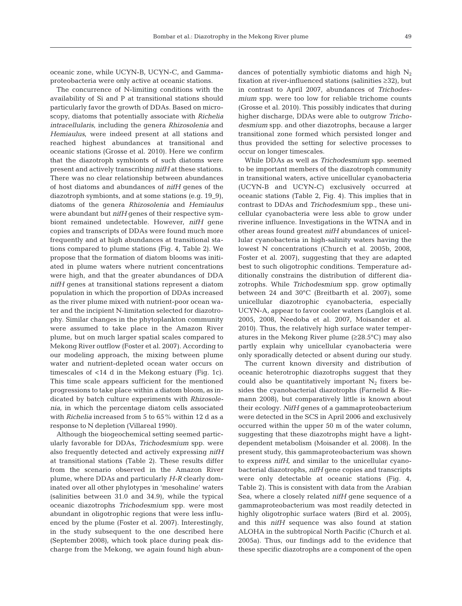oceanic zone, while UCYN-B, UCYN-C, and Gammaproteobacteria were only active at oceanic stations.

The concurrence of N-limiting conditions with the availability of Si and P at transitional stations should particularly favor the growth of DDAs. Based on microscopy, diatoms that potentially associate with *Richelia intracellularis*, including the genera *Rhizosolenia* and *Hemiaulus*, were indeed present at all stations and reached highest abundances at transitional and oceanic stations (Grosse et al. 2010). Here we confirm that the diazotroph symbionts of such diatoms were present and actively transcribing *nifH* at these stations. There was no clear relationship between abundances of host diatoms and abundances of *nifH* genes of the diazotroph symbionts, and at some stations (e.g. 19\_9), diatoms of the genera *Rhizosolenia* and *Hemiaulus* were abundant but *nifH* genes of their respective symbiont remained undetectable. However, *nifH* gene copies and transcripts of DDAs were found much more frequently and at high abundances at transitional stations compared to plume stations (Fig. 4, Table 2). We propose that the formation of diatom blooms was initiated in plume waters where nutrient concentrations were high, and that the greater abundances of DDA *nifH* genes at transitional stations represent a diatom population in which the proportion of DDAs increased as the river plume mixed with nutrient-poor ocean water and the incipient N-limitation selected for diazotrophy. Similar changes in the phytoplankton community were assumed to take place in the Amazon River plume, but on much larger spatial scales compared to Mekong River outflow (Foster et al. 2007). According to our modeling approach, the mixing between plume water and nutrient-depleted ocean water occurs on timescales of <14 d in the Mekong estuary (Fig. 1c). This time scale appears sufficient for the mentioned progressions to take place within a diatom bloom, as indicated by batch culture experiments with *Rhizosolenia*, in which the percentage diatom cells associated with *Richelia* increased from 5 to 65% within 12 d as a response to N depletion (Villareal 1990).

Although the biogeochemical setting seemed particularly favorable for DDAs, *Trichodesmium* spp. were also frequently detected and actively expressing *nifH* at transitional stations (Table 2). These results differ from the scenario observed in the Amazon River plume, where DDAs and particularly *H-R* clearly dominated over all other phylotypes in 'mesohaline' waters (salinities between 31.0 and 34.9), while the typical oceanic diazotrophs *Trichodesmium* spp. were most abundant in oligotrophic regions that were less influenced by the plume (Foster et al. 2007). Interestingly, in the study subsequent to the one described here (September 2008), which took place during peak discharge from the Mekong, we again found high abundances of potentially symbiotic diatoms and high  $N_2$ fixation at river-influenced stations (salinities ≥32), but in contrast to April 2007, abundances of *Trichodesmium* spp. were too low for reliable trichome counts (Grosse et al. 2010). This possibly indicates that during higher discharge, DDAs were able to outgrow *Trichodesmium* spp. and other diazotrophs, because a larger transitional zone formed which persisted longer and thus provided the setting for selective processes to occur on longer timescales.

While DDAs as well as *Trichodesmium* spp. seemed to be important members of the diazotroph community in transitional waters, active unicellular cyanobacteria (UCYN-B and UCYN-C) exclusively occurred at oceanic stations (Table 2, Fig. 4). This implies that in contrast to DDAs and *Trichodesmium* spp., these unicellular cyanobacteria were less able to grow under riverine influence. Investigations in the WTNA and in other areas found greatest *nifH* abundances of unicellular cyanobacteria in high-salinity waters having the lowest N concentrations (Church et al. 2005b, 2008, Foster et al. 2007), suggesting that they are adapted best to such oligotrophic conditions. Temperature additionally constrains the distribution of different diazotrophs. While *Trichodesmium* spp. grow optimally between 24 and 30°C (Breitbarth et al. 2007), some unicellular diazotrophic cyanobacteria, especially UCYN-A, appear to favor cooler waters (Langlois et al. 2005, 2008, Needoba et al. 2007, Moisander et al. 2010). Thus, the relatively high surface water temperatures in the Mekong River plume (≥28.5°C) may also partly explain why unicellular cyanobacteria were only sporadically detected or absent during our study.

The current known diversity and distribution of oceanic heterotrophic diazotrophs suggest that they could also be quantitatively important  $N_2$  fixers besides the cyanobacterial diazotrophs (Farnelid & Riemann 2008), but comparatively little is known about their ecology. *NifH* genes of a gammaproteobacterium were detected in the SCS in April 2006 and exclusively occurred within the upper 50 m of the water column, suggesting that these diazotrophs might have a lightdependent metabolism (Moisander et al. 2008). In the present study, this gammaproteobacterium was shown to express *nifH*, and similar to the unicellular cyanobacterial diazotrophs, *nifH* gene copies and transcripts were only detectable at oceanic stations (Fig. 4, Table 2). This is consistent with data from the Arabian Sea, where a closely related *nifH* gene sequence of a gammaproteobacterium was most readily detected in highly oligotrophic surface waters (Bird et al. 2005), and this *nifH* sequence was also found at station ALOHA in the subtropical North Pacific (Church et al. 2005a). Thus, our findings add to the evidence that these specific diazotrophs are a component of the open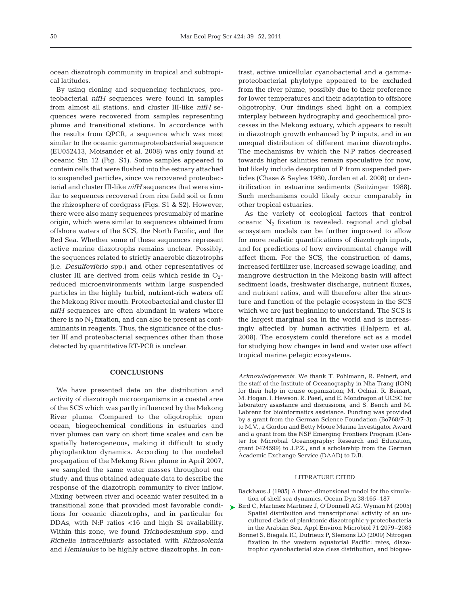ocean diazotroph community in tropical and subtropical latitudes.

By using cloning and sequencing techniques, proteobacterial *nifH* sequences were found in samples from almost all stations, and cluster III-like *nifH* sequences were recovered from samples representing plume and transitional stations. In accordance with the results from QPCR, a sequence which was most similar to the oceanic gammaproteobacterial sequence (EU052413, Moisander et al. 2008) was only found at oceanic Stn 12 (Fig. S1). Some samples appeared to contain cells that were flushed into the estuary attached to suspended particles, since we recovered proteobacterial and cluster III-like *nifH* sequences that were similar to sequences recovered from rice field soil or from the rhizosphere of cordgrass (Figs. S1 & S2). However, there were also many sequences presumably of marine origin, which were similar to sequences obtained from offshore waters of the SCS, the North Pacific, and the Red Sea. Whether some of these sequences represent active marine diazotrophs remains unclear. Possibly, the sequences related to strictly anaerobic diazotrophs (i.e. *Desulfovibrio* spp.) and other representatives of cluster III are derived from cells which reside in  $O_2$ reduced microenvironments within large suspended particles in the highly turbid, nutrient-rich waters off the Mekong River mouth. Proteobacterial and cluster III *nifH* sequences are often abundant in waters where there is no  $N_2$  fixation, and can also be present as contaminants in reagents. Thus, the significance of the cluster III and proteobacterial sequences other than those detected by quantitative RT-PCR is unclear.

#### **CONCLUSIONS**

We have presented data on the distribution and activity of diazotroph microorganisms in a coastal area of the SCS which was partly influenced by the Mekong River plume. Compared to the oligotrophic open ocean, biogeochemical conditions in estuaries and river plumes can vary on short time scales and can be spatially heterogeneous, making it difficult to study phytoplankton dynamics. According to the modeled propagation of the Mekong River plume in April 2007, we sampled the same water masses throughout our study, and thus obtained adequate data to describe the response of the diazotroph community to river inflow. Mixing between river and oceanic water resulted in a transitional zone that provided most favorable conditions for oceanic diazotrophs, and in particular for DDAs, with N:P ratios <16 and high Si availability. Within this zone, we found *Trichodesmium* spp. and *Richelia intracellularis* associated with *Rhizosolenia* and *Hemiaulus* to be highly active diazotrophs. In contrast, active unicellular cyanobacterial and a gammaproteobacterial phylotype appeared to be excluded from the river plume, possibly due to their preference for lower temperatures and their adaptation to offshore oligotrophy. Our findings shed light on a complex interplay between hydrography and geochemical processes in the Mekong estuary, which appears to result in diazotroph growth enhanced by P inputs, and in an unequal distribution of different marine diazotrophs. The mechanisms by which the N:P ratios decreased towards higher salinities remain speculative for now, but likely include desorption of P from suspended particles (Chase & Sayles 1980, Jordan et al. 2008) or denitrification in estuarine sediments (Seitzinger 1988). Such mechanisms could likely occur comparably in other tropical estuaries.

As the variety of ecological factors that control oceanic  $N_2$  fixation is revealed, regional and global ecosystem models can be further improved to allow for more realistic quantifications of diazotroph inputs, and for predictions of how environmental change will affect them. For the SCS, the construction of dams, increased fertilizer use, increased sewage loading, and mangrove destruction in the Mekong basin will affect sediment loads, freshwater discharge, nutrient fluxes, and nutrient ratios, and will therefore alter the structure and function of the pelagic ecosystem in the SCS which we are just beginning to understand. The SCS is the largest marginal sea in the world and is increasingly affected by human activities (Halpern et al. 2008). The ecosystem could therefore act as a model for studying how changes in land and water use affect tropical marine pelagic ecosystems.

*Acknowledgements*. We thank T. Pohlmann, R. Peinert, and the staff of the Institute of Oceanography in Nha Trang (ION) for their help in cruise organization; M. Ochiai, R. Beinart, M. Hogan, I. Hewson, R. Paerl, and E. Mondragon at UCSC for laboratory assistance and discussions; and S. Bench and M. Labrenz for bioinformatics assistance. Funding was provided by a grant from the German Science Foundation (Bo768/7-3) to M.V., a Gordon and Betty Moore Marine Investigator Award and a grant from the NSF Emerging Frontiers Program (Center for Microbial Oceanography: Research and Education, grant 0424599) to J.P.Z., and a scholarship from the German Academic Exchange Service (DAAD) to D.B.

#### LITERATURE CITED

- Backhaus J (1985) A three-dimensional model for the simulation of shelf sea dynamics. Ocean Dyn 38:165–187
- ► Bird C, Martinez Martinez J, O'Donnell AG, Wyman M (2005) Spatial distribution and transcriptional activity of an uncultured clade of planktonic diazotrophic γ-proteobacteria in the Arabian Sea. Appl Environ Microbiol 71:2079–2085 Bonnet S, Biegala IC, Dutrieux P, Slemons LO (2009) Nitrogen fixation in the western equatorial Pacific: rates, diazotrophic cyanobacterial size class distribution, and biogeo-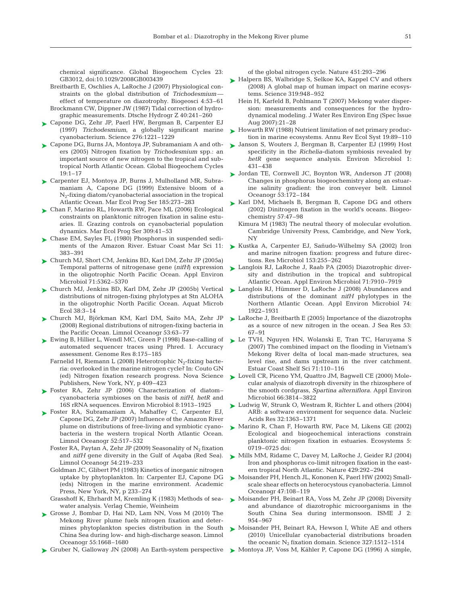chemical significance. Global Biogeochem Cycles 23: GB3012, doi:10.1029/2008GB003439

- Breitbarth E, Oschlies A, LaRoche J (2007) Physiological constraints on the global distribution of *Trichodesmium* effect of temperature on diazotrophy. Biogeosci 4:53–61 Brockmann CW, Dippner JW (1987) Tidal correction of hydrographic measurements. Dtsche Hydrogr Z 40:241–260
- ► Capone DG, Zehr JP, Paerl HW, Bergman B, Carpenter EJ (1997) *Trichodesmium*, a globally significant marine cyanobacterium. Science 276:1221–1229
- ► Capone DG, Burns JA, Montoya JP, Subramaniam A and others (2005) Nitrogen fixation by *Trichodesmium* spp.: an important source of new nitrogen to the tropical and subtropical North Atlantic Ocean. Global Biogeochem Cycles 19:1–17
- ► Carpenter EJ, Montoya JP, Burns J, Mulholland MR, Subramaniam A, Capone DG (1999) Extensive bloom of a N2-fixing diatom/cyanobacterial association in the tropical Atlantic Ocean. Mar Ecol Prog Ser 185:273–283
- Chan F, Marino RL, Howarth RW, Pace ML (2006) Ecological ➤ constraints on planktonic nitrogen fixation in saline estuaries. II. Grazing controls on cyanobacterial population dynamics. Mar Ecol Prog Ser 309:41–53
- ► Chase EM, Sayles FL (1980) Phosphorus in suspended sediments of the Amazon River. Estuar Coast Mar Sci 11: 383–391
- ► Church MJ, Short CM, Jenkins BD, Karl DM, Zehr JP (2005a) Temporal patterns of nitrogenase gene (*nifH*) expression in the oligotrophic North Pacific Ocean. Appl Environ Microbiol 71:5362–5370
- ► Church MJ, Jenkins BD, Karl DM, Zehr JP (2005b) Vertical distributions of nitrogen-fixing phylotypes at Stn ALOHA in the oligotrophic North Pacific Ocean. Aquat Microb Ecol 38:3–14
- Church MJ, Björkman KM, Karl DM, Saito MA, Zehr JP ➤ (2008) Regional distributions of nitrogen-fixing bacteria in the Pacific Ocean. Limnol Oceanogr 53:63–77
- ► Ewing B, Hillier L, Wendl MC, Green P (1998) Base-calling of automated sequencer traces using Phred. I. Accuracy assessment. Genome Res 8:175–185
	- Farnelid H, Riemann L (2008) Heterotrophic  $N_2$ -fixing bacteria: overlooked in the marine nitrogen cycle? In: Couto GN (ed) Nitrogen fixation research progress. Nova Science Publishers, New York, NY, p 409–423
- Foster RA, Zehr JP (2006) Characterization of diatom– ➤ cyanobacteria symbioses on the basis of *nifH, hetR* and 16S rRNA sequences. Environ Microbiol 8:1913–1925
- ▶ Foster RA, Subramaniam A, Mahaffey C, Carpenter EJ, Capone DG, Zehr JP (2007) Influence of the Amazon River plume on distributions of free-living and symbiotic cyanobacteria in the western tropical North Atlantic Ocean. Limnol Oceanogr 52:517–532
	- Foster RA, Paytan A, Zehr JP (2009) Seasonality of  $N_2$  fixation and *nifH* gene diversity in the Gulf of Aqaba (Red Sea). Limnol Oceanogr 54:219–233
	- Goldman JC, Glibert PM (1983) Kinetics of inorganic nitrogen uptake by phytoplankton. In: Carpenter EJ, Capone DG (eds) Nitrogen in the marine environment. Academic Press, New York, NY, p 233–274
	- Grasshoff K, Ehrhardt M, Kremling K (1983) Methods of seawater analysis. Verlag Chemie, Weinheim
- ► Grosse J, Bombar D, Hai ND, Lam NN, Voss M (2010) The Mekong River plume fuels nitrogen fixation and determines phytoplankton species distribution in the South China Sea during low- and high-discharge season. Limnol Oceanogr 55:1668–1680
- ► Gruber N, Galloway JN (2008) An Earth-system perspective

of the global nitrogen cycle. Nature 451:293–296

- ► Halpern BS, Walbridge S, Selkoe KA, Kappel CV and others (2008) A global map of human impact on marine ecosystems. Science 319:948–952
	- Hein H, Karfeld B, Pohlmann T (2007) Mekong water dispersion: measurements and consequences for the hydrodynamical modeling. J Water Res Environ Eng (Spec Issue Aug 2007):21–28
- ► Howarth RW (1988) Nutrient limitation of net primary production in marine ecosystems. Annu Rev Ecol Syst 19:89–110
- ► Janson S, Wouters J, Bergman B, Carpenter EJ (1999) Host specificity in the *Richelia*-diatom symbiosis revealed by *hetR* gene sequence analysis. Environ Microbiol 1: 431–438
- Jordan TE, Cornwell JC, Boynton WR, Anderson JT (2008) Changes in phosphorus biogeochemistry along an estuarine salinity gradient: the iron conveyer belt. Limnol Oceanogr 53:172–184 ➤
- ► Karl DM, Michaels B, Bergman B, Capone DG and others (2002) Dinitrogen fixation in the world's oceans. Biogeochemistry 57:47–98
	- Kimura M (1983) The neutral theory of molecular evolution. Cambridge University Press, Cambridge, and New York, NY
- ► Kustka A, Carpenter EJ, Sañudo-Wilhelmy SA (2002) Iron and marine nitrogen fixation: progress and future directions. Res Microbiol 153:255–262
- ► Langlois RJ, LaRoche J, Raab PA (2005) Diazotrophic diversity and distribution in the tropical and subtropical Atlantic Ocean. Appl Environ Microbiol 71:7910–7919
- ► Langlois RJ, Hümmer D, LaRoche J (2008) Abundances and distributions of the dominant *nifH* phylotypes in the Northern Atlantic Ocean. Appl Environ Microbiol 74: 1922–1931
- ► LaRoche J, Breitbarth E (2005) Importance of the diazotrophs as a source of new nitrogen in the ocean. J Sea Res 53: 67–91
- ► Le TVH, Nguyen HN, Wolanski E, Tran TC, Haruyama S (2007) The combined impact on the flooding in Vietnam's Mekong River delta of local man-made structures, sea level rise, and dams upstream in the river catchment. Estuar Coast Shelf Sci 71:110–116
- ► Lovell CR, Piceno YM, Quattro JM, Bagwell CE (2000) Molecular analysis of diazotroph diversity in the rhizosphere of the smooth cordgrass, *Spartina alterniflora.* Appl Environ Microbiol 66:3814–3822
- ► Ludwig W, Strunk O, Westram R, Richter L and others (2004) ARB: a software environment for sequence data. Nucleic Acids Res 32:1363–1371
- ► Marino R, Chan F, Howarth RW, Pace M, Likens GE (2002) Ecological and biogeochemical interactions constrain planktonic nitrogen fixation in estuaries. Ecosystems 5: 0719–0725 doi:
- ► Mills MM, Ridame C, Davey M, LaRoche J, Geider RJ (2004) Iron and phosphorus co-limit nitrogen fixation in the eastern tropical North Atlantic. Nature 429:292–294
- Moisander PH, Hench JL, Kononen K, Paerl HW (2002) Small-➤ scale shear effects on heterocystous cyanobacteria. Limnol Oceanogr 47:108–119
- ► Moisander PH, Beinart RA, Voss M, Zehr JP (2008) Diversity and abundance of diazotrophic microorganisms in the South China Sea during intermonsoon. ISME J 2: 954–967
- ► Moisander PH, Beinart RA, Hewson I, White AE and others (2010) Unicellular cyanobacterial distributions broaden the oceanic  $N_2$  fixation domain. Science 327:1512-1514
- ► Montoya JP, Voss M, Kähler P, Capone DG (1996) A simple,